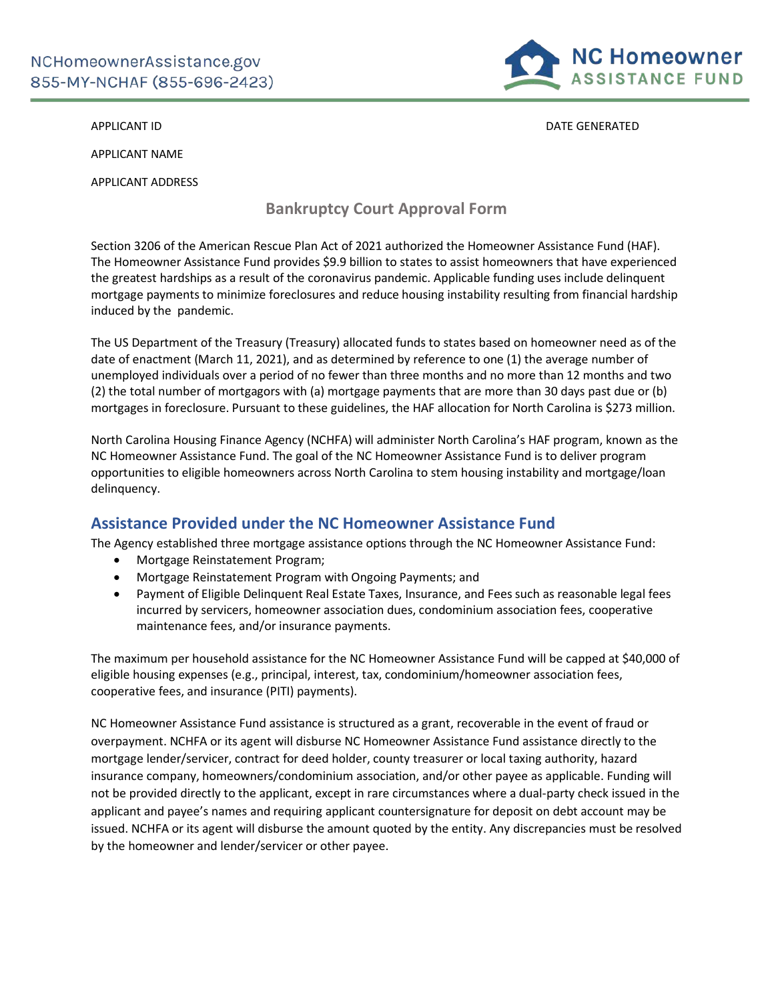

APPLICANT ID **DATE GENERATED** 

APPLICANT NAME

APPLICANT ADDRESS

# **Bankruptcy Court Approval Form**

Section 3206 of the American Rescue Plan Act of 2021 authorized the Homeowner Assistance Fund (HAF). The Homeowner Assistance Fund provides \$9.9 billion to states to assist homeowners that have experienced the greatest hardships as a result of the coronavirus pandemic. Applicable funding uses include delinquent mortgage payments to minimize foreclosures and reduce housing instability resulting from financial hardship induced by the pandemic.

The US Department of the Treasury (Treasury) allocated funds to states based on homeowner need as of the date of enactment (March 11, 2021), and as determined by reference to one (1) the average number of unemployed individuals over a period of no fewer than three months and no more than 12 months and two (2) the total number of mortgagors with (a) mortgage payments that are more than 30 days past due or (b) mortgages in foreclosure. Pursuant to these guidelines, the HAF allocation for North Carolina is \$273 million.

North Carolina Housing Finance Agency (NCHFA) will administer North Carolina's HAF program, known as the NC Homeowner Assistance Fund. The goal of the NC Homeowner Assistance Fund is to deliver program opportunities to eligible homeowners across North Carolina to stem housing instability and mortgage/loan delinquency.

## **Assistance Provided under the NC Homeowner Assistance Fund**

The Agency established three mortgage assistance options through the NC Homeowner Assistance Fund:

- Mortgage Reinstatement Program;
- Mortgage Reinstatement Program with Ongoing Payments; and
- Payment of Eligible Delinquent Real Estate Taxes, Insurance, and Fees such as reasonable legal fees incurred by servicers, homeowner association dues, condominium association fees, cooperative maintenance fees, and/or insurance payments.

The maximum per household assistance for the NC Homeowner Assistance Fund will be capped at \$40,000 of eligible housing expenses (e.g., principal, interest, tax, condominium/homeowner association fees, cooperative fees, and insurance (PITI) payments).

NC Homeowner Assistance Fund assistance is structured as a grant, recoverable in the event of fraud or overpayment. NCHFA or its agent will disburse NC Homeowner Assistance Fund assistance directly to the mortgage lender/servicer, contract for deed holder, county treasurer or local taxing authority, hazard insurance company, homeowners/condominium association, and/or other payee as applicable. Funding will not be provided directly to the applicant, except in rare circumstances where a dual-party check issued in the applicant and payee's names and requiring applicant countersignature for deposit on debt account may be issued. NCHFA or its agent will disburse the amount quoted by the entity. Any discrepancies must be resolved by the homeowner and lender/servicer or other payee.